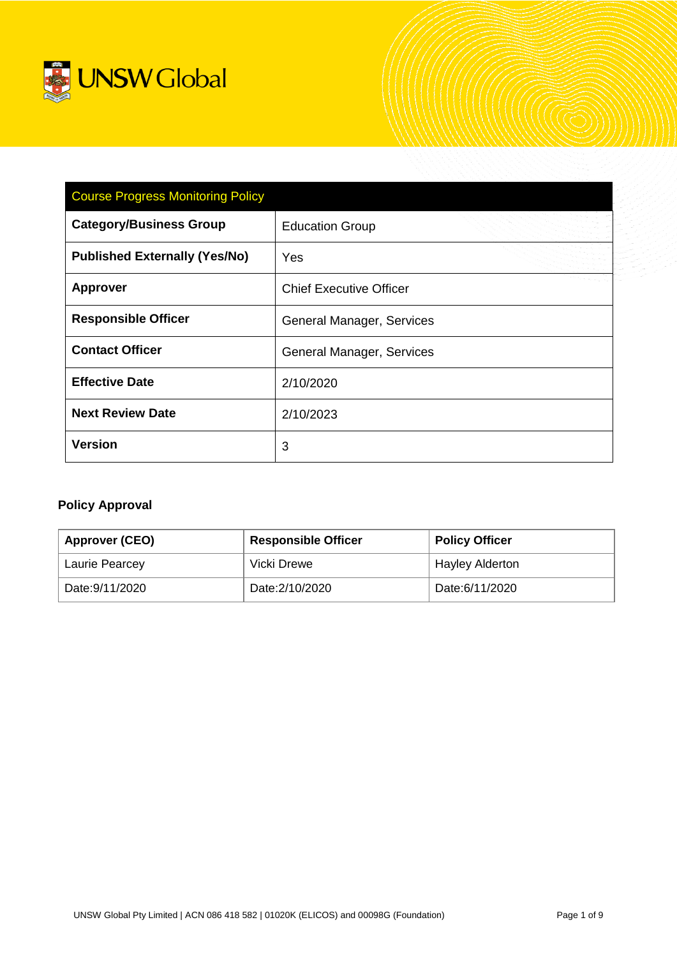

| <b>Course Progress Monitoring Policy</b> |                                |  |  |  |
|------------------------------------------|--------------------------------|--|--|--|
| <b>Category/Business Group</b>           | <b>Education Group</b>         |  |  |  |
| <b>Published Externally (Yes/No)</b>     | Yes                            |  |  |  |
| <b>Approver</b>                          | <b>Chief Executive Officer</b> |  |  |  |
| <b>Responsible Officer</b>               | General Manager, Services      |  |  |  |
| <b>Contact Officer</b>                   | General Manager, Services      |  |  |  |
| <b>Effective Date</b>                    | 2/10/2020                      |  |  |  |
| <b>Next Review Date</b>                  | 2/10/2023                      |  |  |  |
| <b>Version</b>                           | 3                              |  |  |  |

# **Policy Approval**

| Approver (CEO) | <b>Responsible Officer</b> | <b>Policy Officer</b> |
|----------------|----------------------------|-----------------------|
| Laurie Pearcey | Vicki Drewe                | Hayley Alderton       |
| Date:9/11/2020 | Date: 2/10/2020            | Date:6/11/2020        |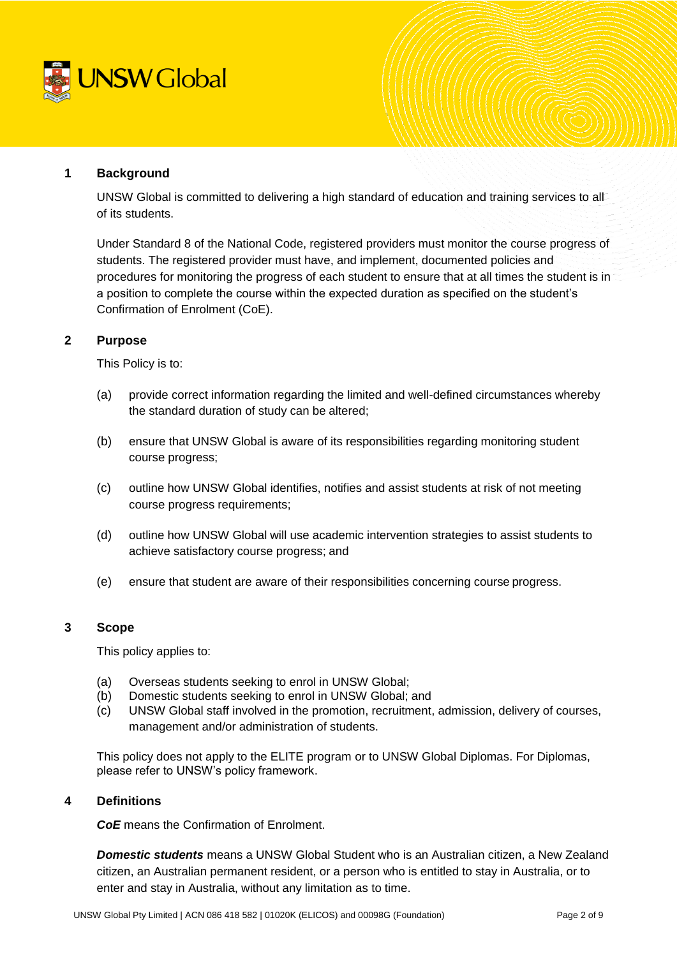

### **1 Background**

UNSW Global is committed to delivering a high standard of education and training services to all of its students.

Under Standard 8 of the National Code, registered providers must monitor the course progress of students. The registered provider must have, and implement, documented policies and procedures for monitoring the progress of each student to ensure that at all times the student is in a position to complete the course within the expected duration as specified on the student's Confirmation of Enrolment (CoE).

### **2 Purpose**

This Policy is to:

- (a) provide correct information regarding the limited and well-defined circumstances whereby the standard duration of study can be altered;
- (b) ensure that UNSW Global is aware of its responsibilities regarding monitoring student course progress;
- (c) outline how UNSW Global identifies, notifies and assist students at risk of not meeting course progress requirements;
- (d) outline how UNSW Global will use academic intervention strategies to assist students to achieve satisfactory course progress; and
- (e) ensure that student are aware of their responsibilities concerning course progress.

# **3 Scope**

This policy applies to:

- (a) Overseas students seeking to enrol in UNSW Global;
- (b) Domestic students seeking to enrol in UNSW Global; and
- (c) UNSW Global staff involved in the promotion, recruitment, admission, delivery of courses, management and/or administration of students.

This policy does not apply to the ELITE program or to UNSW Global Diplomas. For Diplomas, please refer to UNSW's policy framework.

### **4 Definitions**

*CoE* means the Confirmation of Enrolment.

*Domestic students* means a UNSW Global Student who is an Australian citizen, a New Zealand citizen, an Australian permanent resident, or a person who is entitled to stay in Australia, or to enter and stay in Australia, without any limitation as to time.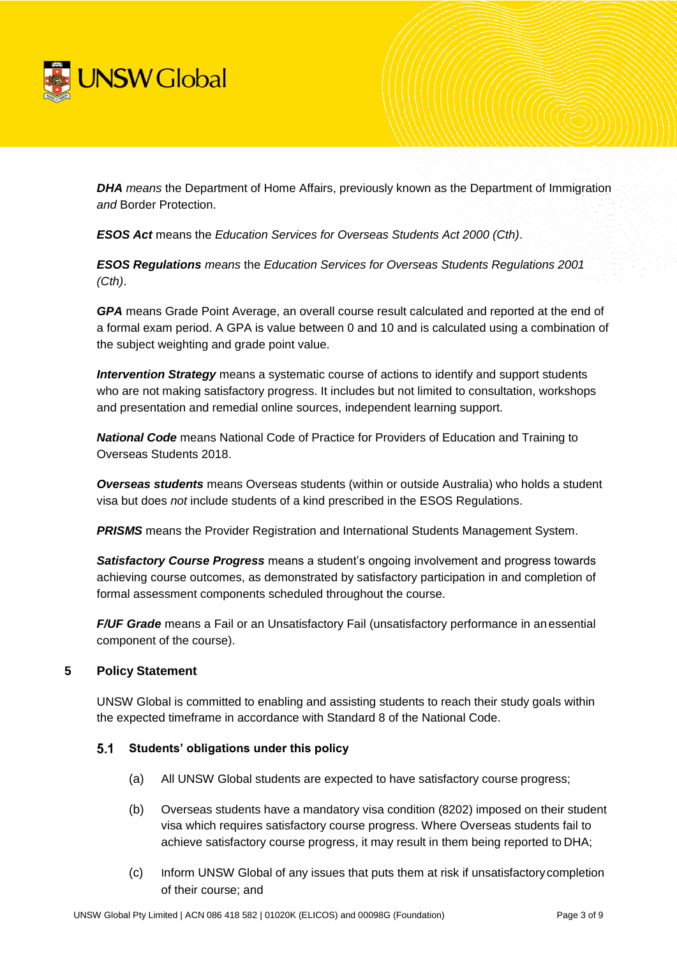

**DHA** means the Department of Home Affairs, previously known as the Department of Immigration *and* Border Protection.

*ESOS Act* means the *Education Services for Overseas Students Act 2000 (Cth)*.

*ESOS Regulations means* the *Education Services for Overseas Students Regulations 2001 (Cth)*.

*GPA* means Grade Point Average, an overall course result calculated and reported at the end of a formal exam period. A GPA is value between 0 and 10 and is calculated using a combination of the subject weighting and grade point value.

*Intervention Strategy* means a systematic course of actions to identify and support students who are not making satisfactory progress. It includes but not limited to consultation, workshops and presentation and remedial online sources, independent learning support.

*National Code* means National Code of Practice for Providers of Education and Training to Overseas Students 2018.

*Overseas students* means Overseas students (within or outside Australia) who holds a student visa but does *not* include students of a kind prescribed in the ESOS Regulations.

**PRISMS** means the Provider Registration and International Students Management System.

*Satisfactory Course Progress* means a student's ongoing involvement and progress towards achieving course outcomes, as demonstrated by satisfactory participation in and completion of formal assessment components scheduled throughout the course.

*F/UF Grade* means a Fail or an Unsatisfactory Fail (unsatisfactory performance in anessential component of the course).

#### **5 Policy Statement**

UNSW Global is committed to enabling and assisting students to reach their study goals within the expected timeframe in accordance with Standard 8 of the National Code.

#### $5.1$ **Students' obligations under this policy**

- (a) All UNSW Global students are expected to have satisfactory course progress;
- (b) Overseas students have a mandatory visa condition (8202) imposed on their student visa which requires satisfactory course progress. Where Overseas students fail to achieve satisfactory course progress, it may result in them being reported to DHA;
- (c) Inform UNSW Global of any issues that puts them at risk if unsatisfactorycompletion of their course; and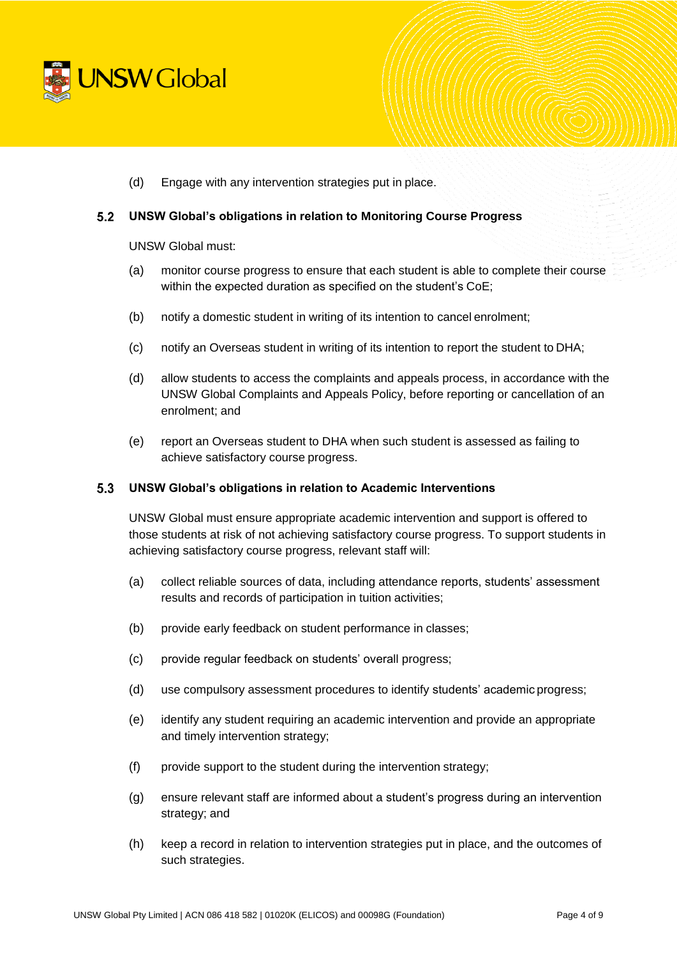

(d) Engage with any intervention strategies put in place.

#### **UNSW Global's obligations in relation to Monitoring Course Progress**

UNSW Global must:

- (a) monitor course progress to ensure that each student is able to complete their course within the expected duration as specified on the student's CoE;
- (b) notify a domestic student in writing of its intention to cancel enrolment;
- (c) notify an Overseas student in writing of its intention to report the student to DHA;
- (d) allow students to access the complaints and appeals process, in accordance with the UNSW Global Complaints and Appeals Policy, before reporting or cancellation of an enrolment; and
- (e) report an Overseas student to DHA when such student is assessed as failing to achieve satisfactory course progress.

#### $5.3$ **UNSW Global's obligations in relation to Academic Interventions**

UNSW Global must ensure appropriate academic intervention and support is offered to those students at risk of not achieving satisfactory course progress. To support students in achieving satisfactory course progress, relevant staff will:

- (a) collect reliable sources of data, including attendance reports, students' assessment results and records of participation in tuition activities;
- (b) provide early feedback on student performance in classes;
- (c) provide regular feedback on students' overall progress;
- (d) use compulsory assessment procedures to identify students' academic progress;
- (e) identify any student requiring an academic intervention and provide an appropriate and timely intervention strategy;
- (f) provide support to the student during the intervention strategy;
- (g) ensure relevant staff are informed about a student's progress during an intervention strategy; and
- (h) keep a record in relation to intervention strategies put in place, and the outcomes of such strategies.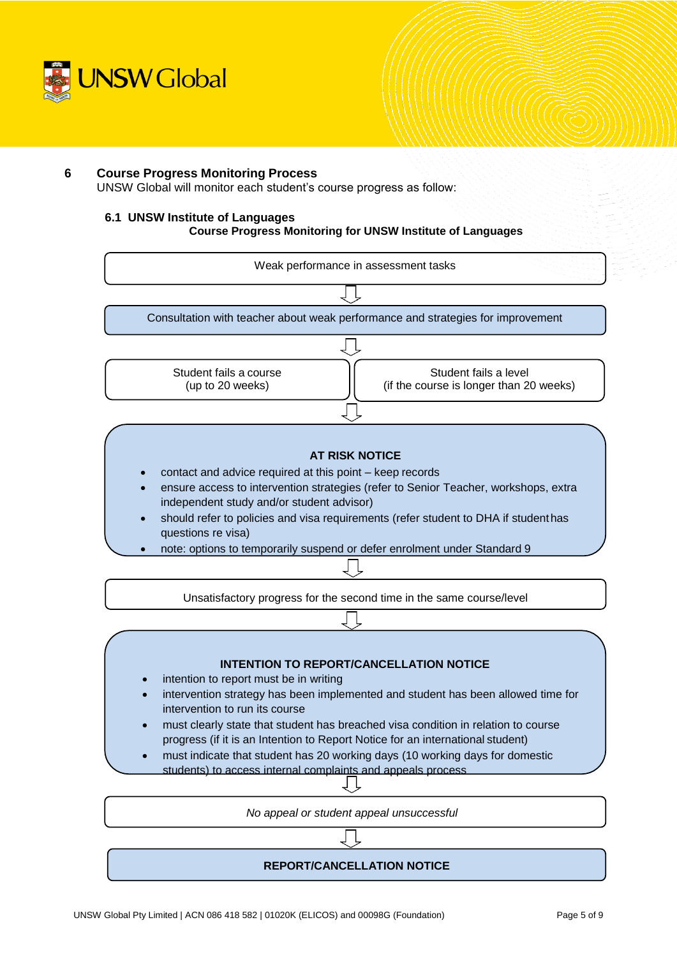

### **6 Course Progress Monitoring Process**

UNSW Global will monitor each student's course progress as follow:

### **6.1 UNSW Institute of Languages**

#### **Course Progress Monitoring for UNSW Institute of Languages**

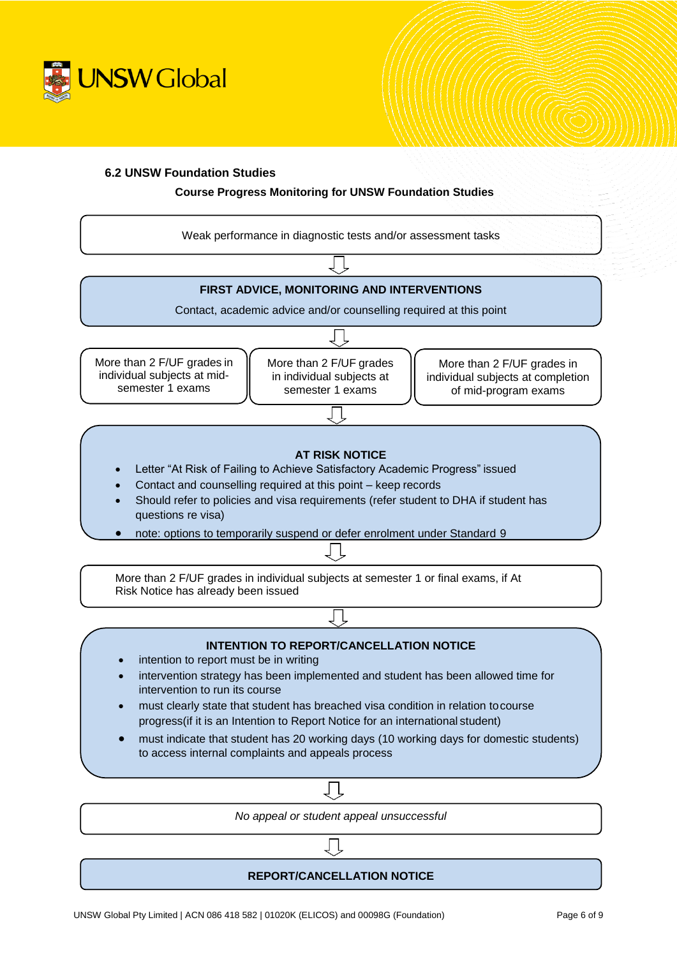

### **6.2 UNSW Foundation Studies**

### **Course Progress Monitoring for UNSW Foundation Studies**

Weak performance in diagnostic tests and/or assessment tasks

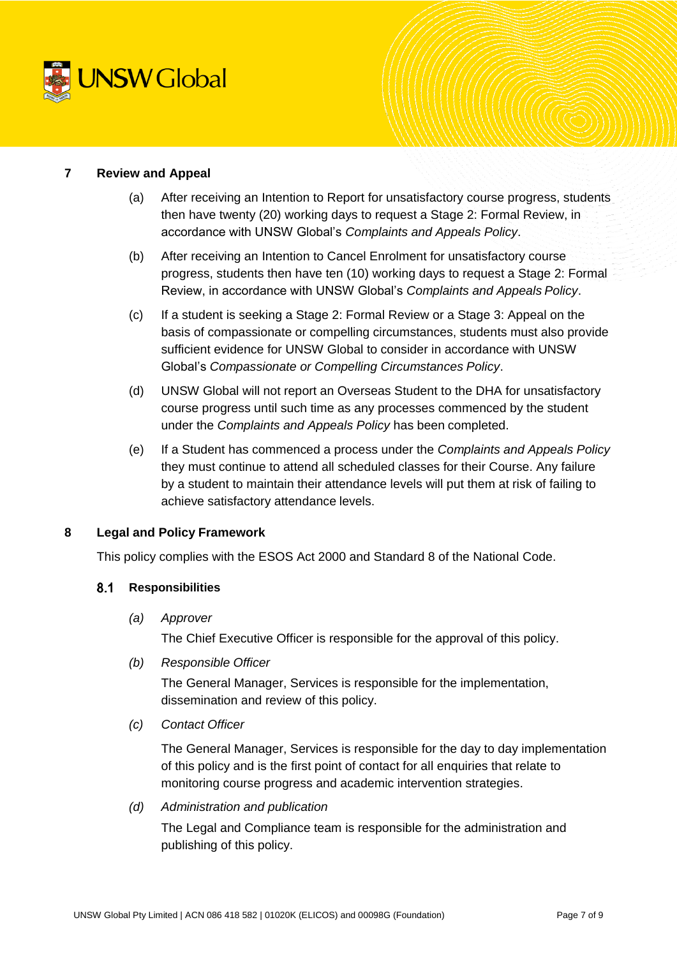

### **7 Review and Appeal**

- (a) After receiving an Intention to Report for unsatisfactory course progress, students then have twenty (20) working days to request a Stage 2: Formal Review, in accordance with UNSW Global's *Complaints and Appeals Policy*.
- (b) After receiving an Intention to Cancel Enrolment for unsatisfactory course progress, students then have ten (10) working days to request a Stage 2: Formal Review, in accordance with UNSW Global's *Complaints and Appeals Policy*.
- (c) If a student is seeking a Stage 2: Formal Review or a Stage 3: Appeal on the basis of compassionate or compelling circumstances, students must also provide sufficient evidence for UNSW Global to consider in accordance with UNSW Global's *Compassionate or Compelling Circumstances Policy*.
- (d) UNSW Global will not report an Overseas Student to the DHA for unsatisfactory course progress until such time as any processes commenced by the student under the *Complaints and Appeals Policy* has been completed.
- (e) If a Student has commenced a process under the *Complaints and Appeals Policy*  they must continue to attend all scheduled classes for their Course. Any failure by a student to maintain their attendance levels will put them at risk of failing to achieve satisfactory attendance levels.

# **8 Legal and Policy Framework**

This policy complies with the ESOS Act 2000 and Standard 8 of the National Code.

#### $8.1$ **Responsibilities**

*(a) Approver*

The Chief Executive Officer is responsible for the approval of this policy.

*(b) Responsible Officer*

The General Manager, Services is responsible for the implementation, dissemination and review of this policy.

*(c) Contact Officer*

The General Manager, Services is responsible for the day to day implementation of this policy and is the first point of contact for all enquiries that relate to monitoring course progress and academic intervention strategies.

*(d) Administration and publication*

The Legal and Compliance team is responsible for the administration and publishing of this policy.